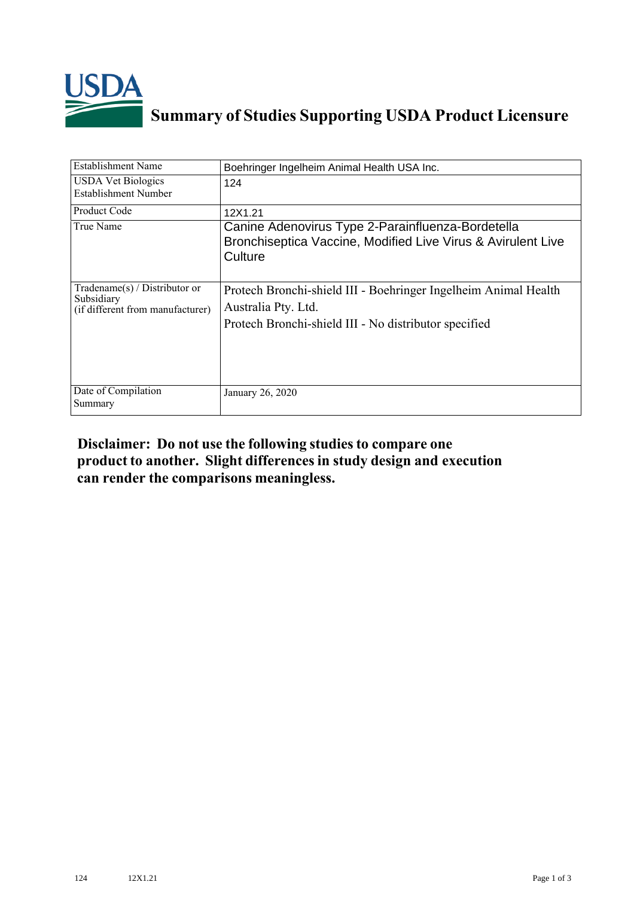

## **Summary of Studies Supporting USDA Product Licensure**

| <b>Establishment Name</b>                                                          | Boehringer Ingelheim Animal Health USA Inc.                                                                                                     |  |  |
|------------------------------------------------------------------------------------|-------------------------------------------------------------------------------------------------------------------------------------------------|--|--|
| <b>USDA Vet Biologics</b><br>Establishment Number                                  | 124                                                                                                                                             |  |  |
| Product Code                                                                       | 12X1.21                                                                                                                                         |  |  |
| True Name                                                                          | Canine Adenovirus Type 2-Parainfluenza-Bordetella<br>Bronchiseptica Vaccine, Modified Live Virus & Avirulent Live<br>Culture                    |  |  |
| Tradename $(s)$ / Distributor or<br>Subsidiary<br>(if different from manufacturer) | Protech Bronchi-shield III - Boehringer Ingelheim Animal Health<br>Australia Pty. Ltd.<br>Protech Bronchi-shield III - No distributor specified |  |  |
| Date of Compilation<br>Summary                                                     | January 26, 2020                                                                                                                                |  |  |

## **Disclaimer: Do not use the following studiesto compare one product to another. Slight differencesin study design and execution can render the comparisons meaningless.**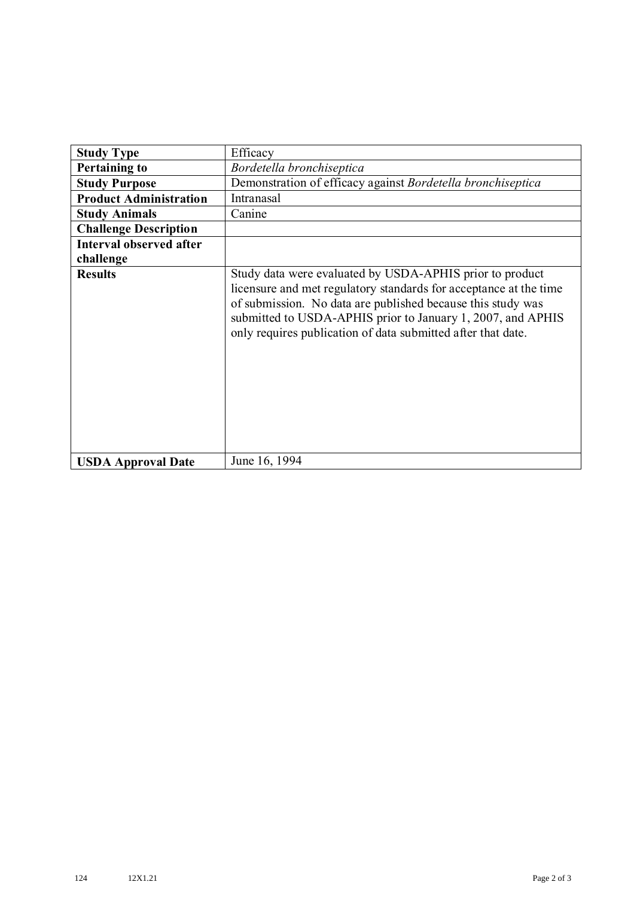| <b>Study Type</b>              | Efficacy                                                                                                                                                                                                                                                                                                                    |  |  |  |
|--------------------------------|-----------------------------------------------------------------------------------------------------------------------------------------------------------------------------------------------------------------------------------------------------------------------------------------------------------------------------|--|--|--|
| <b>Pertaining to</b>           | Bordetella bronchiseptica                                                                                                                                                                                                                                                                                                   |  |  |  |
| <b>Study Purpose</b>           | Demonstration of efficacy against Bordetella bronchiseptica                                                                                                                                                                                                                                                                 |  |  |  |
| <b>Product Administration</b>  | Intranasal                                                                                                                                                                                                                                                                                                                  |  |  |  |
| <b>Study Animals</b>           | Canine                                                                                                                                                                                                                                                                                                                      |  |  |  |
| <b>Challenge Description</b>   |                                                                                                                                                                                                                                                                                                                             |  |  |  |
| <b>Interval observed after</b> |                                                                                                                                                                                                                                                                                                                             |  |  |  |
| challenge                      |                                                                                                                                                                                                                                                                                                                             |  |  |  |
| <b>Results</b>                 | Study data were evaluated by USDA-APHIS prior to product<br>licensure and met regulatory standards for acceptance at the time<br>of submission. No data are published because this study was<br>submitted to USDA-APHIS prior to January 1, 2007, and APHIS<br>only requires publication of data submitted after that date. |  |  |  |
| <b>USDA Approval Date</b>      | June 16, 1994                                                                                                                                                                                                                                                                                                               |  |  |  |